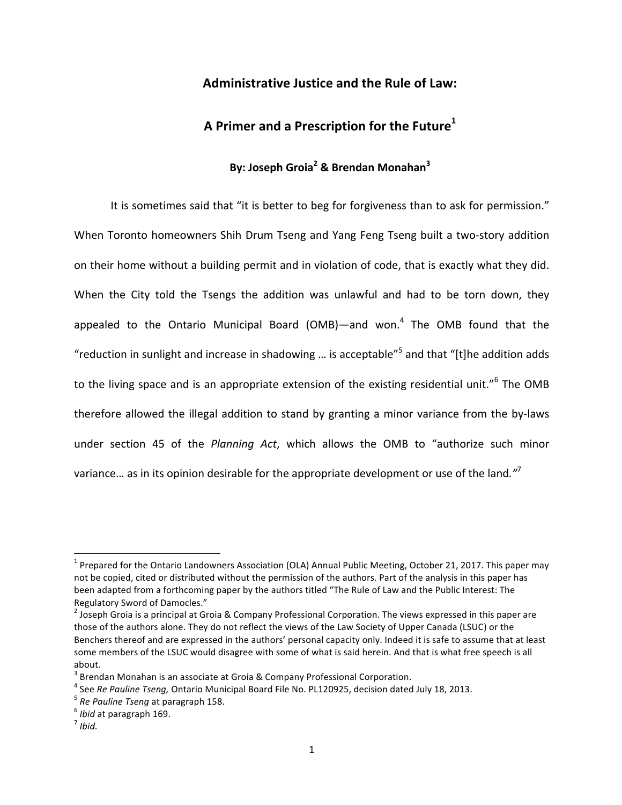## Administrative Justice and the Rule of Law:

# A Primer and a Prescription for the Future<sup>1</sup>

# **By: Joseph Groia2 & Brendan Monahan<sup>3</sup>**

It is sometimes said that "it is better to beg for forgiveness than to ask for permission." When Toronto homeowners Shih Drum Tseng and Yang Feng Tseng built a two-story addition on their home without a building permit and in violation of code, that is exactly what they did. When the City told the Tsengs the addition was unlawful and had to be torn down, they appealed to the Ontario Municipal Board (OMB)—and won.<sup>4</sup> The OMB found that the "reduction in sunlight and increase in shadowing ... is acceptable"<sup>5</sup> and that "[t]he addition adds to the living space and is an appropriate extension of the existing residential unit."<sup>6</sup> The OMB therefore allowed the illegal addition to stand by granting a minor variance from the by-laws under section 45 of the *Planning Act*, which allows the OMB to "authorize such minor variance... as in its opinion desirable for the appropriate development or use of the land.<sup>"7</sup>

 $1$  Prepared for the Ontario Landowners Association (OLA) Annual Public Meeting, October 21, 2017. This paper may not be copied, cited or distributed without the permission of the authors. Part of the analysis in this paper has been adapted from a forthcoming paper by the authors titled "The Rule of Law and the Public Interest: The Regulatory Sword of Damocles."

<sup>&</sup>lt;sup>2</sup> Joseph Groia is a principal at Groia & Company Professional Corporation. The views expressed in this paper are those of the authors alone. They do not reflect the views of the Law Society of Upper Canada (LSUC) or the Benchers thereof and are expressed in the authors' personal capacity only. Indeed it is safe to assume that at least some members of the LSUC would disagree with some of what is said herein. And that is what free speech is all about. 

 $3$  Brendan Monahan is an associate at Groia & Company Professional Corporation.

<sup>&</sup>lt;sup>4</sup> See *Re Pauline Tseng,* Ontario Municipal Board File No. PL120925, decision dated July 18, 2013.<br>
<sup>5</sup> *Re Pauline Tseng* at paragraph 158. 6 *Ibid* at paragraph 169. 7 *Ibid.* 7 *Ibid.*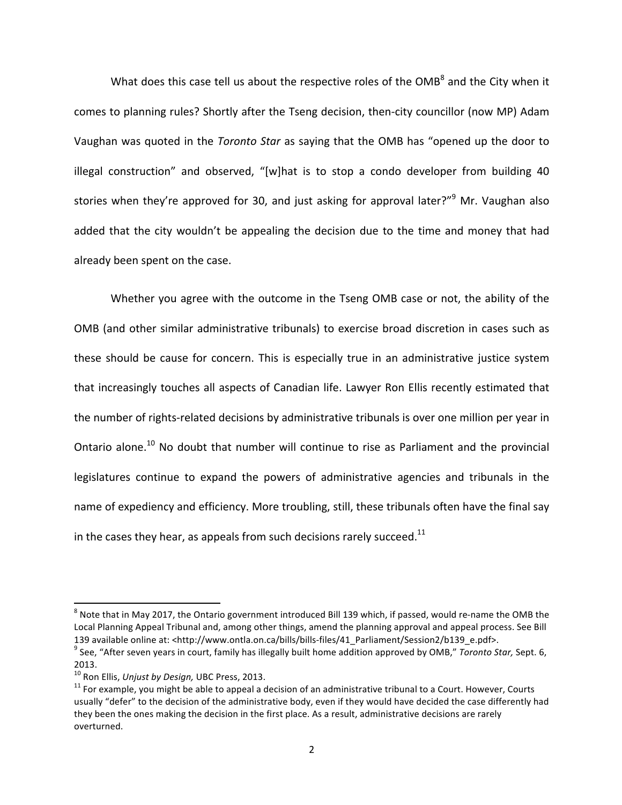What does this case tell us about the respective roles of the  $OMB<sup>8</sup>$  and the City when it comes to planning rules? Shortly after the Tseng decision, then-city councillor (now MP) Adam Vaughan was quoted in the *Toronto Star* as saying that the OMB has "opened up the door to illegal construction" and observed, "[w]hat is to stop a condo developer from building 40 stories when they're approved for 30, and just asking for approval later?" Mr. Vaughan also added that the city wouldn't be appealing the decision due to the time and money that had already been spent on the case.

Whether you agree with the outcome in the Tseng OMB case or not, the ability of the OMB (and other similar administrative tribunals) to exercise broad discretion in cases such as these should be cause for concern. This is especially true in an administrative justice system that increasingly touches all aspects of Canadian life. Lawyer Ron Ellis recently estimated that the number of rights-related decisions by administrative tribunals is over one million per year in Ontario alone.<sup>10</sup> No doubt that number will continue to rise as Parliament and the provincial legislatures continue to expand the powers of administrative agencies and tribunals in the name of expediency and efficiency. More troubling, still, these tribunals often have the final say in the cases they hear, as appeals from such decisions rarely succeed.<sup>11</sup>

 $8$  Note that in May 2017, the Ontario government introduced Bill 139 which, if passed, would re-name the OMB the Local Planning Appeal Tribunal and, among other things, amend the planning approval and appeal process. See Bill 139 available online at: <http://www.ontla.on.ca/bills/bills-files/41\_Parliament/Session2/b139\_e.pdf>.<br><sup>9</sup> See, "After seven years in court, family has illegally built home addition approved by OMB," Toronto Star, Sept. 6,

<sup>2013.&</sup>lt;br><sup>10</sup> Ron Ellis, *Unjust by Design,* UBC Press, 2013.

<sup>&</sup>lt;sup>11</sup> For example, you might be able to appeal a decision of an administrative tribunal to a Court. However, Courts usually "defer" to the decision of the administrative body, even if they would have decided the case differently had they been the ones making the decision in the first place. As a result, administrative decisions are rarely overturned.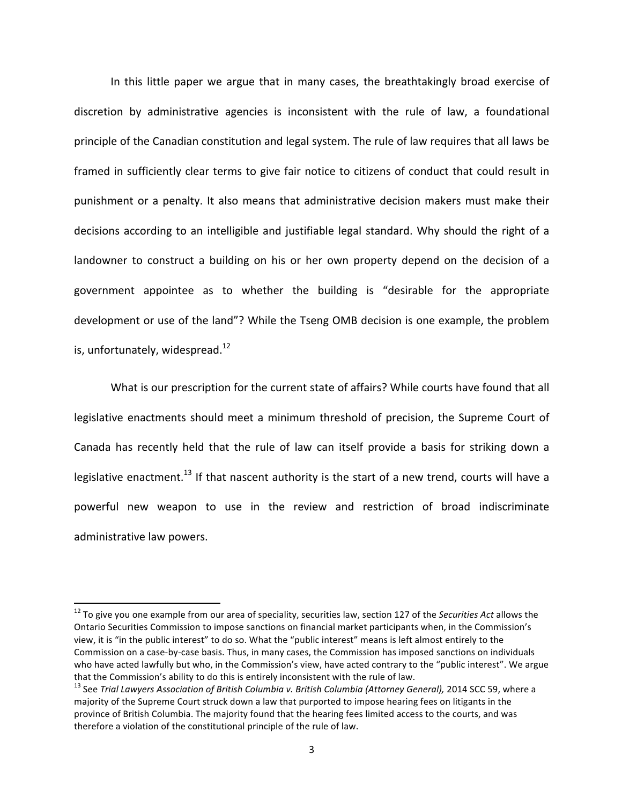In this little paper we argue that in many cases, the breathtakingly broad exercise of discretion by administrative agencies is inconsistent with the rule of law, a foundational principle of the Canadian constitution and legal system. The rule of law requires that all laws be framed in sufficiently clear terms to give fair notice to citizens of conduct that could result in punishment or a penalty. It also means that administrative decision makers must make their decisions according to an intelligible and justifiable legal standard. Why should the right of a landowner to construct a building on his or her own property depend on the decision of a government appointee as to whether the building is "desirable for the appropriate development or use of the land"? While the Tseng OMB decision is one example, the problem is, unfortunately, widespread. $^{12}$ 

What is our prescription for the current state of affairs? While courts have found that all legislative enactments should meet a minimum threshold of precision, the Supreme Court of Canada has recently held that the rule of law can itself provide a basis for striking down a legislative enactment.<sup>13</sup> If that nascent authority is the start of a new trend, courts will have a powerful new weapon to use in the review and restriction of broad indiscriminate administrative law powers.

<sup>&</sup>lt;sup>12</sup> To give you one example from our area of speciality, securities law, section 127 of the *Securities Act* allows the Ontario Securities Commission to impose sanctions on financial market participants when, in the Commission's view, it is "in the public interest" to do so. What the "public interest" means is left almost entirely to the Commission on a case-by-case basis. Thus, in many cases, the Commission has imposed sanctions on individuals who have acted lawfully but who, in the Commission's view, have acted contrary to the "public interest". We argue that the Commission's ability to do this is entirely inconsistent with the rule of law.

<sup>&</sup>lt;sup>13</sup> See Trial Lawyers Association of British Columbia v. British Columbia (Attorney General), 2014 SCC 59, where a majority of the Supreme Court struck down a law that purported to impose hearing fees on litigants in the province of British Columbia. The majority found that the hearing fees limited access to the courts, and was therefore a violation of the constitutional principle of the rule of law.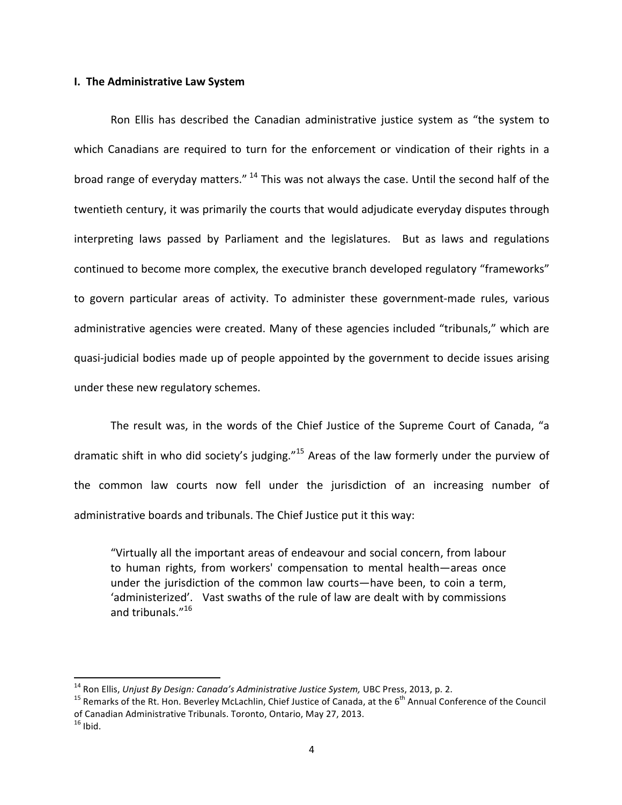#### **I.** The Administrative Law System

Ron Ellis has described the Canadian administrative justice system as "the system to which Canadians are required to turn for the enforcement or vindication of their rights in a broad range of everyday matters."  $^{14}$  This was not always the case. Until the second half of the twentieth century, it was primarily the courts that would adjudicate everyday disputes through interpreting laws passed by Parliament and the legislatures. But as laws and regulations continued to become more complex, the executive branch developed regulatory "frameworks" to govern particular areas of activity. To administer these government-made rules, various administrative agencies were created. Many of these agencies included "tribunals," which are quasi-judicial bodies made up of people appointed by the government to decide issues arising under these new regulatory schemes.

The result was, in the words of the Chief Justice of the Supreme Court of Canada, "a dramatic shift in who did society's judging."<sup>15</sup> Areas of the law formerly under the purview of the common law courts now fell under the jurisdiction of an increasing number of administrative boards and tribunals. The Chief Justice put it this way:

"Virtually all the important areas of endeavour and social concern, from labour to human rights, from workers' compensation to mental health—areas once under the jurisdiction of the common law courts—have been, to coin a term, 'administerized'. Vast swaths of the rule of law are dealt with by commissions and tribunals." 16

<sup>&</sup>lt;sup>14</sup> Ron Ellis, *Unjust By Design: Canada's Administrative Justice System,* UBC Press, 2013, p. 2.<br><sup>15</sup> Remarks of the Rt. Hon. Beverley McLachlin, Chief Justice of Canada, at the 6<sup>th</sup> Annual Conference of the Council of Canadian Administrative Tribunals. Toronto, Ontario, May 27, 2013.

 $16$  Ibid.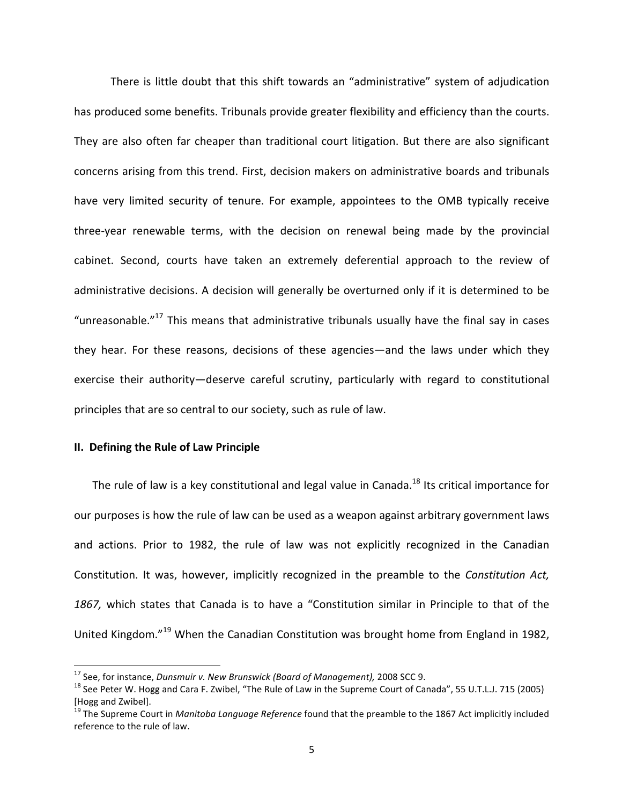There is little doubt that this shift towards an "administrative" system of adjudication has produced some benefits. Tribunals provide greater flexibility and efficiency than the courts. They are also often far cheaper than traditional court litigation. But there are also significant concerns arising from this trend. First, decision makers on administrative boards and tribunals have very limited security of tenure. For example, appointees to the OMB typically receive three-year renewable terms, with the decision on renewal being made by the provincial cabinet. Second, courts have taken an extremely deferential approach to the review of administrative decisions. A decision will generally be overturned only if it is determined to be "unreasonable."<sup>17</sup> This means that administrative tribunals usually have the final say in cases they hear. For these reasons, decisions of these agencies—and the laws under which they exercise their authority—deserve careful scrutiny, particularly with regard to constitutional principles that are so central to our society, such as rule of law.

### **II.** Defining the Rule of Law Principle

 

The rule of law is a key constitutional and legal value in Canada.<sup>18</sup> Its critical importance for our purposes is how the rule of law can be used as a weapon against arbitrary government laws and actions. Prior to 1982, the rule of law was not explicitly recognized in the Canadian Constitution. It was, however, implicitly recognized in the preamble to the *Constitution Act*, 1867, which states that Canada is to have a "Constitution similar in Principle to that of the United Kingdom."<sup>19</sup> When the Canadian Constitution was brought home from England in 1982,

<sup>&</sup>lt;sup>17</sup> See, for instance, *Dunsmuir v. New Brunswick (Board of Management),* 2008 SCC 9.<br><sup>18</sup> See Peter W. Hogg and Cara F. Zwibel, "The Rule of Law in the Supreme Court of Canada", 55 U.T.L.J. 715 (2005) [Hogg and Zwibel].

<sup>&</sup>lt;sup>19</sup> The Supreme Court in *Manitoba Language Reference* found that the preamble to the 1867 Act implicitly included reference to the rule of law.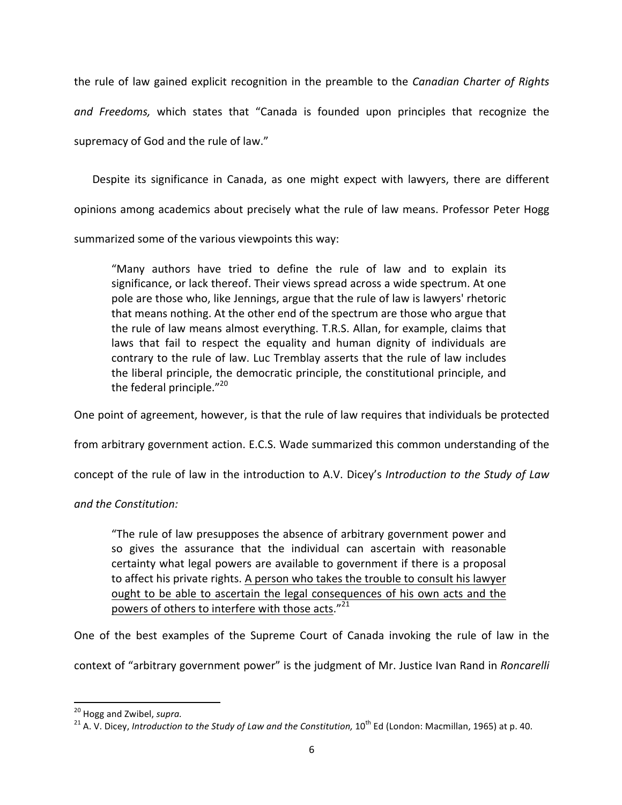the rule of law gained explicit recognition in the preamble to the *Canadian Charter of Rights and Freedoms,* which states that "Canada is founded upon principles that recognize the supremacy of God and the rule of law."

Despite its significance in Canada, as one might expect with lawyers, there are different opinions among academics about precisely what the rule of law means. Professor Peter Hogg summarized some of the various viewpoints this way:

"Many authors have tried to define the rule of law and to explain its significance, or lack thereof. Their views spread across a wide spectrum. At one pole are those who, like Jennings, argue that the rule of law is lawyers' rhetoric that means nothing. At the other end of the spectrum are those who argue that the rule of law means almost everything. T.R.S. Allan, for example, claims that laws that fail to respect the equality and human dignity of individuals are contrary to the rule of law. Luc Tremblay asserts that the rule of law includes the liberal principle, the democratic principle, the constitutional principle, and the federal principle." $^{20}$ 

One point of agreement, however, is that the rule of law requires that individuals be protected

from arbitrary government action. E.C.S. Wade summarized this common understanding of the

concept of the rule of law in the introduction to A.V. Dicey's Introduction to the Study of Law

## *and the Constitution:*

"The rule of law presupposes the absence of arbitrary government power and so gives the assurance that the individual can ascertain with reasonable certainty what legal powers are available to government if there is a proposal to affect his private rights. A person who takes the trouble to consult his lawyer ought to be able to ascertain the legal consequences of his own acts and the powers of others to interfere with those acts."21

One of the best examples of the Supreme Court of Canada invoking the rule of law in the context of "arbitrary government power" is the judgment of Mr. Justice Ivan Rand in *Roncarelli* 

<sup>&</sup>lt;sup>20</sup> Hogg and Zwibel, *supra.*<br><sup>21</sup> A. V. Dicey, *Introduction to the Study of Law and the Constitution,* 10<sup>th</sup> Ed (London: Macmillan, 1965) at p. 40.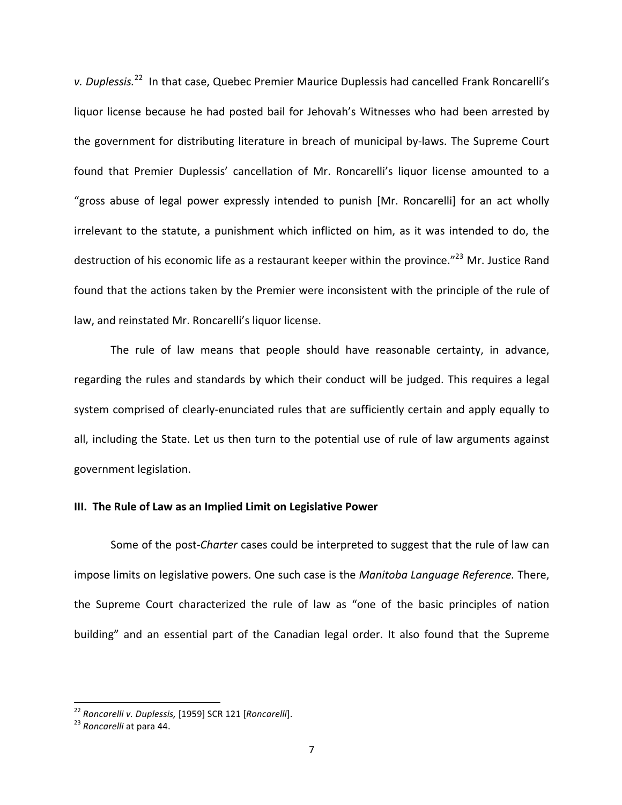*v.* Duplessis.<sup>22</sup> In that case, Quebec Premier Maurice Duplessis had cancelled Frank Roncarelli's liquor license because he had posted bail for Jehovah's Witnesses who had been arrested by the government for distributing literature in breach of municipal by-laws. The Supreme Court found that Premier Duplessis' cancellation of Mr. Roncarelli's liquor license amounted to a "gross abuse of legal power expressly intended to punish [Mr. Roncarelli] for an act wholly irrelevant to the statute, a punishment which inflicted on him, as it was intended to do, the destruction of his economic life as a restaurant keeper within the province."<sup>23</sup> Mr. Justice Rand found that the actions taken by the Premier were inconsistent with the principle of the rule of law, and reinstated Mr. Roncarelli's liquor license.

The rule of law means that people should have reasonable certainty, in advance, regarding the rules and standards by which their conduct will be judged. This requires a legal system comprised of clearly-enunciated rules that are sufficiently certain and apply equally to all, including the State. Let us then turn to the potential use of rule of law arguments against government legislation.

### **III.** The Rule of Law as an Implied Limit on Legislative Power

Some of the post-*Charter* cases could be interpreted to suggest that the rule of law can impose limits on legislative powers. One such case is the *Manitoba Language Reference*. There, the Supreme Court characterized the rule of law as "one of the basic principles of nation building" and an essential part of the Canadian legal order. It also found that the Supreme

<sup>&</sup>lt;sup>22</sup> Roncarelli v. Duplessis, [1959] SCR 121 [*Roncarelli*].<br><sup>23</sup> *Roncarelli* at para 44.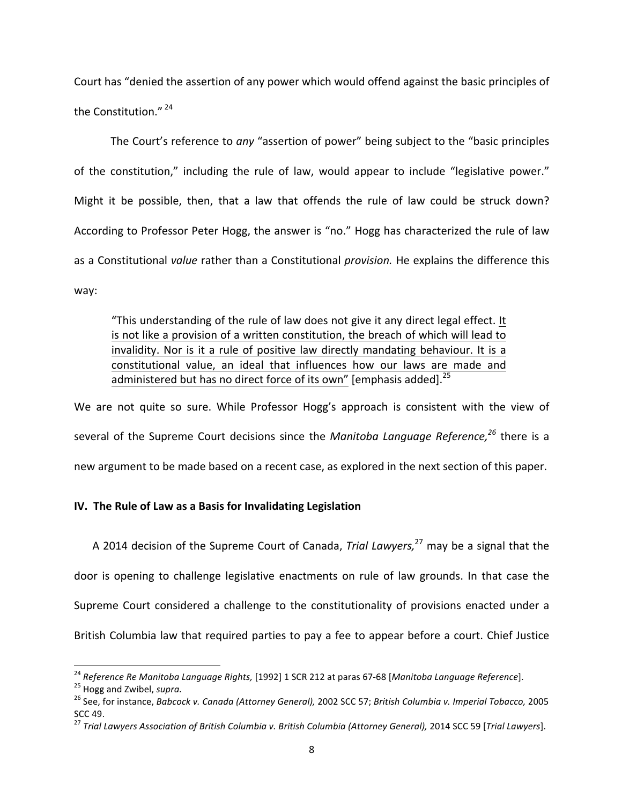Court has "denied the assertion of any power which would offend against the basic principles of the Constitution."<sup>24</sup>

The Court's reference to *any* "assertion of power" being subject to the "basic principles of the constitution," including the rule of law, would appear to include "legislative power." Might it be possible, then, that a law that offends the rule of law could be struck down? According to Professor Peter Hogg, the answer is "no." Hogg has characterized the rule of law as a Constitutional *value* rather than a Constitutional *provision*. He explains the difference this way:

"This understanding of the rule of law does not give it any direct legal effect. It is not like a provision of a written constitution, the breach of which will lead to invalidity. Nor is it a rule of positive law directly mandating behaviour. It is a constitutional value, an ideal that influences how our laws are made and administered but has no direct force of its own" [emphasis added].<sup>25</sup>

We are not quite so sure. While Professor Hogg's approach is consistent with the view of several of the Supreme Court decisions since the *Manitoba Language Reference,<sup>26</sup>* there is a new argument to be made based on a recent case, as explored in the next section of this paper.

## **IV.** The Rule of Law as a Basis for Invalidating Legislation

A 2014 decision of the Supreme Court of Canada, *Trial Lawyers*,<sup>27</sup> may be a signal that the door is opening to challenge legislative enactments on rule of law grounds. In that case the Supreme Court considered a challenge to the constitutionality of provisions enacted under a British Columbia law that required parties to pay a fee to appear before a court. Chief Justice

<sup>&</sup>lt;sup>24</sup> Reference Re Manitoba Language Rights, [1992] 1 SCR 212 at paras 67-68 [Manitoba Language Reference].<br><sup>25</sup> Hogg and Zwibel, supra.<br><sup>26</sup> See, for instance, Babcock v. Canada (Attorney General), 2002 SCC 57; British Col

SCC 49.<br><sup>27</sup> Trial Lawyers Association of British Columbia v. British Columbia (Attorney General), 2014 SCC 59 [Trial Lawyers].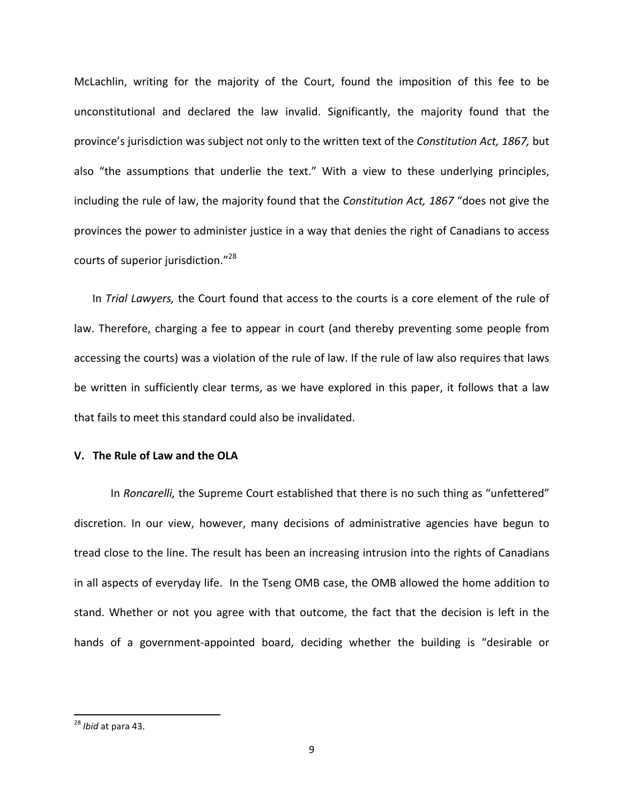McLachlin, writing for the majority of the Court, found the imposition of this fee to be unconstitutional and declared the law invalid. Significantly, the majority found that the province's jurisdiction was subject not only to the written text of the *Constitution Act, 1867*, but also "the assumptions that underlie the text." With a view to these underlying principles, including the rule of law, the majority found that the *Constitution Act, 1867* "does not give the provinces the power to administer justice in a way that denies the right of Canadians to access courts of superior jurisdiction."<sup>28</sup>

In *Trial Lawyers,* the Court found that access to the courts is a core element of the rule of law. Therefore, charging a fee to appear in court (and thereby preventing some people from accessing the courts) was a violation of the rule of law. If the rule of law also requires that laws be written in sufficiently clear terms, as we have explored in this paper, it follows that a law that fails to meet this standard could also be invalidated.

## **V. The Rule of Law and the OLA**

In *Roncarelli*, the Supreme Court established that there is no such thing as "unfettered" discretion. In our view, however, many decisions of administrative agencies have begun to tread close to the line. The result has been an increasing intrusion into the rights of Canadians in all aspects of everyday life. In the Tseng OMB case, the OMB allowed the home addition to stand. Whether or not you agree with that outcome, the fact that the decision is left in the hands of a government-appointed board, deciding whether the building is "desirable or

<sup>&</sup>lt;sup>28</sup> *Ibid* at para 43.